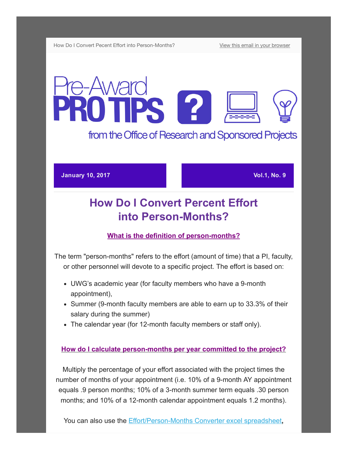How Do I Convert Pecent Effort into Person-Months? [View this email in your browser](http://us13.campaign-archive1.com/?u=da65d94a037c71fb992ffa034&id=cf8286f19b&e=[UNIQID])

# e-Award **PROTIPS 12**

from the Office of Research and Sponsored Projects

#### **January 10, 2017 Vol.1, No. 9**

## How Do I Convert Percent Effort into Person-Months?

## What is the definition of person-months?

The term "person-months" refers to the effort (amount of time) that a PI, faculty, or other personnel will devote to a specific project. The effort is based on:

- UWG's academic year (for faculty members who have a 9-month appointment),
- Summer (9-month faculty members are able to earn up to 33.3% of their salary during the summer)
- The calendar year (for 12-month faculty members or staff only).

### How do I calculate person-months per year committed to the project?

Multiply the percentage of your effort associated with the project times the number of months of your appointment (i.e. 10% of a 9-month AY appointment equals .9 person months; 10% of a 3-month summer term equals .30 person months; and 10% of a 12-month calendar appointment equals 1.2 months).

You can also use the Effort/Person-Months Converter excel spreadsheet,